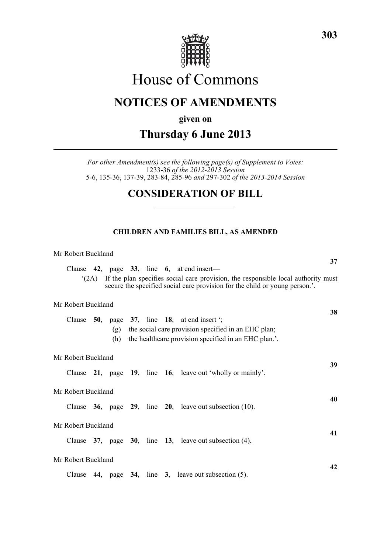

# House of Commons

# **NOTICES OF AMENDMENTS**

**given on**

# **Thursday 6 June 2013**

*For other Amendment(s) see the following page(s) of Supplement to Votes:* 1233-36 *of the 2012-2013 Session* 5-6, 135-36, 137-39, 283-84, 285-96 *and* 297-302 *of the 2013-2014 Session*

# **CONSIDERATION OF BILL**

# **CHILDREN AND FAMILIES BILL, AS AMENDED**

#### Mr Robert Buckland

**37** Clause **42**, page **33**, line **6**, at end insert— '(2A) If the plan specifies social care provision, the responsible local authority must secure the specified social care provision for the child or young person.'. **38**

### Mr Robert Buckland

|                    |        |  | (g)<br>(h) |  |  |  | Clause $50$ , page $37$ , line 18, at end insert ';<br>the social care provision specified in an EHC plan;<br>the healthcare provision specified in an EHC plan.'. |    |
|--------------------|--------|--|------------|--|--|--|--------------------------------------------------------------------------------------------------------------------------------------------------------------------|----|
| Mr Robert Buckland |        |  |            |  |  |  |                                                                                                                                                                    |    |
|                    |        |  |            |  |  |  | Clause 21, page 19, line 16, leave out 'wholly or mainly'.                                                                                                         | 39 |
| Mr Robert Buckland |        |  |            |  |  |  |                                                                                                                                                                    |    |
|                    |        |  |            |  |  |  | Clause $36$ , page $29$ , line $20$ , leave out subsection (10).                                                                                                   | 40 |
| Mr Robert Buckland |        |  |            |  |  |  |                                                                                                                                                                    |    |
|                    |        |  |            |  |  |  | Clause $37$ , page $30$ , line $13$ , leave out subsection (4).                                                                                                    | 41 |
| Mr Robert Buckland |        |  |            |  |  |  |                                                                                                                                                                    |    |
|                    | Clause |  |            |  |  |  | 44, page $34$ , line 3, leave out subsection (5).                                                                                                                  | 42 |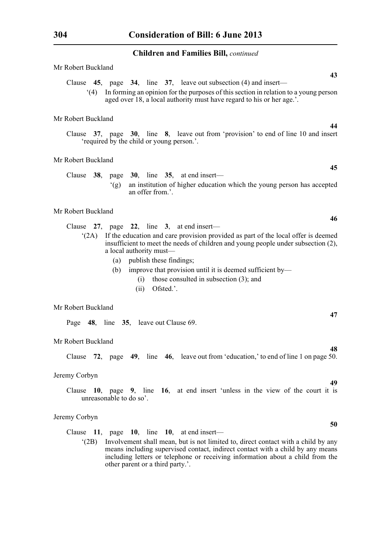# **Children and Families Bill,** *continued*

| Mr Robert Buckland                                                                                                                                                                                                                                                                                                                                                                      |
|-----------------------------------------------------------------------------------------------------------------------------------------------------------------------------------------------------------------------------------------------------------------------------------------------------------------------------------------------------------------------------------------|
| 43<br>Clause $45$ , page $34$ , line $37$ , leave out subsection (4) and insert—<br>In forming an opinion for the purposes of this section in relation to a young person<br>(4)<br>aged over 18, a local authority must have regard to his or her age.'.                                                                                                                                |
| Mr Robert Buckland                                                                                                                                                                                                                                                                                                                                                                      |
| 44<br>Clause 37, page 30, line 8, leave out from 'provision' to end of line 10 and insert<br>'required by the child or young person.'.                                                                                                                                                                                                                                                  |
| Mr Robert Buckland                                                                                                                                                                                                                                                                                                                                                                      |
| 45                                                                                                                                                                                                                                                                                                                                                                                      |
| Clause $38$ ,<br>page $30$ , line $35$ , at end insert—<br>an institution of higher education which the young person has accepted<br>(g)<br>an offer from.'.                                                                                                                                                                                                                            |
| Mr Robert Buckland                                                                                                                                                                                                                                                                                                                                                                      |
| 46<br>Clause $27$ , page $22$ , line 3, at end insert—                                                                                                                                                                                                                                                                                                                                  |
| If the education and care provision provided as part of the local offer is deemed<br>(2A)<br>insufficient to meet the needs of children and young people under subsection (2),<br>a local authority must-<br>publish these findings;<br>(a)<br>improve that provision until it is deemed sufficient by—<br>(b)<br>those consulted in subsection $(3)$ ; and<br>(i)<br>Ofsted.'.<br>(ii) |
| Mr Robert Buckland                                                                                                                                                                                                                                                                                                                                                                      |
| 47<br>Page 48, line 35, leave out Clause 69.                                                                                                                                                                                                                                                                                                                                            |
| Mr Robert Buckland<br>48                                                                                                                                                                                                                                                                                                                                                                |

Clause **72**, page **49**, line **46**, leave out from 'education,' to end of line 1 on page 50.

# Jeremy Corbyn

Clause **10**, page **9**, line **16**, at end insert 'unless in the view of the court it is unreasonable to do so'.

# Jeremy Corbyn

Clause **11**, page **10**, line **10**, at end insert—

'(2B) Involvement shall mean, but is not limited to, direct contact with a child by any means including supervised contact, indirect contact with a child by any means including letters or telephone or receiving information about a child from the other parent or a third party.'.

**49**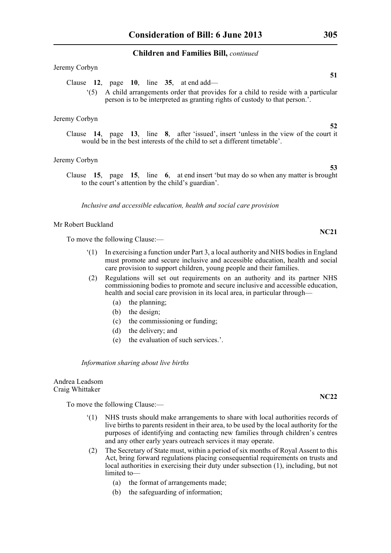#### **Children and Families Bill,** *continued*

#### Jeremy Corbyn

- Clause **12**, page **10**, line **35**, at end add—
	- '(5) A child arrangements order that provides for a child to reside with a particular person is to be interpreted as granting rights of custody to that person.'.

#### Jeremy Corbyn

Clause **14**, page **13**, line **8**, after 'issued', insert 'unless in the view of the court it would be in the best interests of the child to set a different timetable'.

#### Jeremy Corbyn

Clause **15**, page **15**, line **6**, at end insert 'but may do so when any matter is brought to the court's attention by the child's guardian'.

*Inclusive and accessible education, health and social care provision*

#### Mr Robert Buckland

To move the following Clause:—

- '(1) In exercising a function under Part 3, a local authority and NHS bodies in England must promote and secure inclusive and accessible education, health and social care provision to support children, young people and their families.
- (2) Regulations will set out requirements on an authority and its partner NHS commissioning bodies to promote and secure inclusive and accessible education, health and social care provision in its local area, in particular through—
	- (a) the planning;
	- (b) the design;
	- (c) the commissioning or funding;
	- (d) the delivery; and
	- (e) the evaluation of such services.'.

*Information sharing about live births*

#### Andrea Leadsom Craig Whittaker

To move the following Clause:—

- '(1) NHS trusts should make arrangements to share with local authorities records of live births to parents resident in their area, to be used by the local authority for the purposes of identifying and contacting new families through children's centres and any other early years outreach services it may operate.
- (2) The Secretary of State must, within a period of six months of Royal Assent to this Act, bring forward regulations placing consequential requirements on trusts and local authorities in exercising their duty under subsection (1), including, but not limited to—
	- (a) the format of arrangements made;
	- (b) the safeguarding of information;

# **NC22**

**52**

**53**

**NC21**

**51**